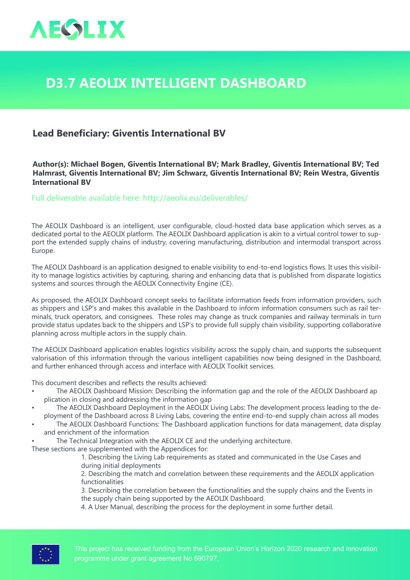

## **D3.7 AEOLIX Intelligent Dashboard**

## **Lead Beneficiary: Giventis International BV**

## **Author(s): Michael Bogen, Giventis International BV; Mark Bradley, Giventis International BV; Ted Halmrast, Giventis International BV; Jim Schwarz, Giventis International BV; Rein Westra, Giventis International BV**

Full deliverable available here: <http://aeolix.eu/deliverables/>

The AEOLIX Dashboard is an intelligent, user configurable, cloud-hosted data base application which serves as a dedicated portal to the AEOLIX platform. The AEOLIX Dashboard application is akin to a virtual control tower to support the extended supply chains of industry, covering manufacturing, distribution and intermodal transport across Europe.

The AEOLIX Dashboard is an application designed to enable visibility to end-to-end logistics flows. It uses this visibility to manage logistics activities by capturing, sharing and enhancing data that is published from disparate logistics systems and sources through the AEOLIX Connectivity Engine (CE).

As proposed, the AEOLIX Dashboard concept seeks to facilitate information feeds from information providers, such as shippers and LSP's and makes this available in the Dashboard to inform information consumers such as rail terminals, truck operators, and consignees. These roles may change as truck companies and railway terminals in turn provide status updates back to the shippers and LSP's to provide full supply chain visibility, supporting collaborative planning across multiple actors in the supply chain.

The AEOLIX Dashboard application enables logistics visibility across the supply chain, and supports the subsequent valorisation of this information through the various intelligent capabilities now being designed in the Dashboard, and further enhanced through access and interface with AEOLIX Toolkit services.

This document describes and reflects the results achieved:

- The AEOLIX Dashboard Mission: Describing the information gap and the role of the AEOLIX Dashboard ap plication in closing and addressing the information gap
- The AEOLIX Dashboard Deployment in the AEOLIX Living Labs: The development process leading to the deployment of the Dashboard across 8 Living Labs, covering the entire end-to-end supply chain across all modes
- The AEOLIX Dashboard Functions: The Dashboard application functions for data management, data display and enrichment of the information
- The Technical Integration with the AEOLIX CE and the underlying architecture.

These sections are supplemented with the Appendices for:

1. Describing the Living Lab requirements as stated and communicated in the Use Cases and during initial deployments

2. Describing the match and correlation between these requirements and the AEOLIX application functionalities

3. Describing the correlation between the functionalities and the supply chains and the Events in the supply chain being supported by the AEOLIX Dashboard.

4. A User Manual, describing the process for the deployment in some further detail.